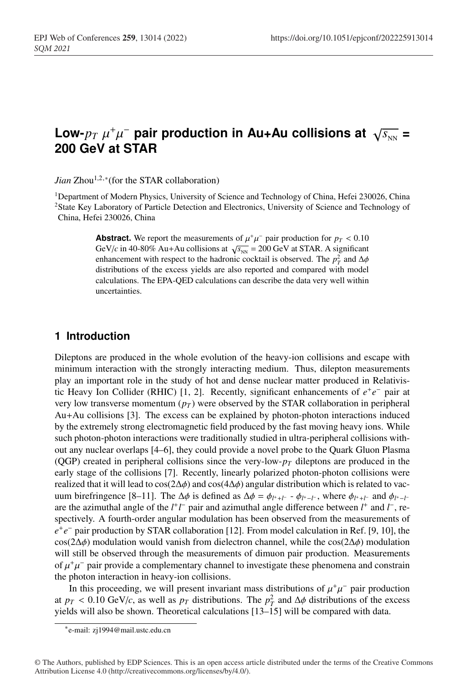# **Low-** $p_T$   $\mu^+\mu^-$  pair production in Au+Au collisions at  $\sqrt{s_{NN}}$  = **200 GeV at STAR**

*Jian* Zhou<sup>1,2,∗</sup>(for the STAR collaboration)

<sup>1</sup>Department of Modern Physics, University of Science and Technology of China, Hefei 230026, China 2State Key Laboratory of Particle Detection and Electronics, University of Science and Technology of China, Hefei 230026, China

> **Abstract.** We report the measurements of  $\mu^+\mu^-$  pair production for  $p_T < 0.10$ GeV/*c* in 40-80% Au+Au collisions at  $\sqrt{s_{NN}}$  = 200 GeV at STAR. A significant enhancement with respect to the hadronic cocktail is observed. The  $p_T^2$  and  $\Delta \phi$ distributions of the excess yields are also reported and compared with model calculations. The EPA-QED calculations can describe the data very well within uncertainties.

### **1 Introduction**

Dileptons are produced in the whole evolution of the heavy-ion collisions and escape with minimum interaction with the strongly interacting medium. Thus, dilepton measurements play an important role in the study of hot and dense nuclear matter produced in Relativistic Heavy Ion Collider (RHIC) [1, 2]. Recently, significant enhancements of *e*+*e*<sup>−</sup> pair at very low transverse momentum  $(p_T)$  were observed by the STAR collaboration in peripheral Au+Au collisions [3]. The excess can be explained by photon-photon interactions induced by the extremely strong electromagnetic field produced by the fast moving heavy ions. While such photon-photon interactions were traditionally studied in ultra-peripheral collisions without any nuclear overlaps [4–6], they could provide a novel probe to the Quark Gluon Plasma (QGP) created in peripheral collisions since the very-low- $p<sub>T</sub>$  dileptons are produced in the early stage of the collisions [7]. Recently, linearly polarized photon-photon collisions were realized that it will lead to cos( $2\Delta\phi$ ) and cos( $4\Delta\phi$ ) angular distribution which is related to vacuum birefringence [8–11]. The Δφ is defined as  $Δφ = φ<sub>l^++l^-</sub> - φ<sub>l^+-l^-</sub>$ , where  $φ<sub>l^++l^-</sub>$  and  $φ<sub>l^+-l^</sub>$ are the azimuthal angle of the  $l^+l^-$  pair and azimuthal angle difference between  $l^+$  and  $l^-$ , respectively. A fourth-order angular modulation has been observed from the measurements of *e*<sup>+</sup>*e*<sup>−</sup> pair production by STAR collaboration [12]. From model calculation in Ref. [9, 10], the cos(2∆φ) modulation would vanish from dielectron channel, while the cos(2∆φ) modulation will still be observed through the measurements of dimuon pair production. Measurements of  $\mu^+\mu^-$  pair provide a complementary channel to investigate these phenomena and constrain the photon interaction in heavy-ion collisions.

In this proceeding, we will present invariant mass distributions of  $\mu^+\mu^-$  pair production at  $p_T < 0.10 \text{ GeV}/c$ , as well as  $p_T$  distributions. The  $p_T^2$  and  $\Delta \phi$  distributions of the excess yields will also be shown. Theoretical calculations [13–15] will be compared with data.

<sup>∗</sup>e-mail: zj1994@mail.ustc.edu.cn

<sup>©</sup> The Authors, published by EDP Sciences. This is an open access article distributed under the terms of the Creative Commons Attribution License 4.0 (http://creativecommons.org/licenses/by/4.0/).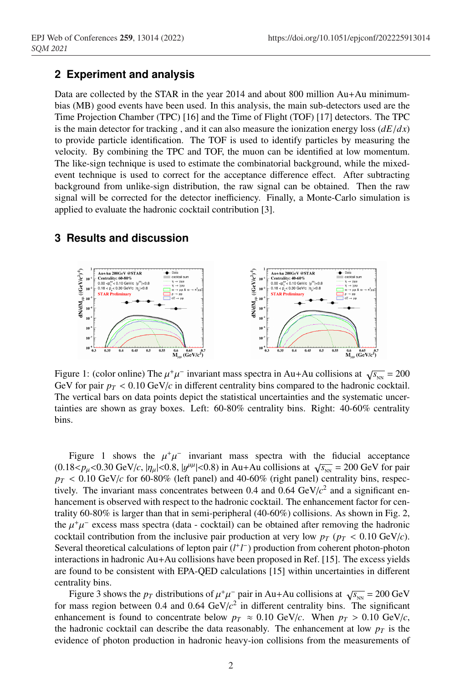# **2 Experiment and analysis**

Data are collected by the STAR in the year 2014 and about 800 million Au+Au minimumbias (MB) good events have been used. In this analysis, the main sub-detectors used are the Time Projection Chamber (TPC) [16] and the Time of Flight (TOF) [17] detectors. The TPC is the main detector for tracking, and it can also measure the ionization energy loss  $\left(\frac{dE}{dx}\right)$ to provide particle identification. The TOF is used to identify particles by measuring the velocity. By combining the TPC and TOF, the muon can be identified at low momentum. The like-sign technique is used to estimate the combinatorial background, while the mixedevent technique is used to correct for the acceptance difference effect. After subtracting background from unlike-sign distribution, the raw signal can be obtained. Then the raw signal will be corrected for the detector inefficiency. Finally, a Monte-Carlo simulation is applied to evaluate the hadronic cocktail contribution [3].

# **3 Results and discussion**



Figure 1: (color online) The  $\mu^+\mu^-$  invariant mass spectra in Au+Au collisions at  $\sqrt{s_{\text{NN}}}$  = 200 GeV for pair  $p_T < 0.10$  GeV/*c* in different centrality bins compared to the hadronic cocktail. The vertical bars on data points depict the statistical uncertainties and the systematic uncertainties are shown as gray boxes. Left: 60-80% centrality bins. Right: 40-60% centrality bins.

Figure 1 shows the  $\mu^+\mu^-$  invariant mass spectra with the fiducial acceptance  $(0.18 < p_{\mu} < 0.30 \text{ GeV}/c, |\eta_{\mu}| < 0.8, |\mathcal{Y}^{\mu\mu}| < 0.8)$  in Au+Au collisions at  $\sqrt{s_{\text{NN}}} = 200 \text{ GeV}$  for pair  $p_T < 0.10$  GeV/*c* for 60-80% (left panel) and 40-60% (right panel) centrality bins, respectively. The invariant mass concentrates between  $0.4$  and  $0.64 \text{ GeV}/c^2$  and a significant enhancement is observed with respect to the hadronic cocktail. The enhancement factor for centrality 60-80% is larger than that in semi-peripheral (40-60%) collisions. As shown in Fig. 2, the  $\mu^+\mu^-$  excess mass spectra (data - cocktail) can be obtained after removing the hadronic cocktail contribution from the inclusive pair production at very low  $p_T$  ( $p_T < 0.10$  GeV/*c*). Several theoretical calculations of lepton pair (*l*<sup>+</sup>*l*<sup>−</sup>) production from coherent photon-photon interactions in hadronic Au+Au collisions have been proposed in Ref. [15]. The excess yields are found to be consistent with EPA-QED calculations [15] within uncertainties in different centrality bins.

Figure 3 shows the *p<sub>T</sub>* distributions of  $\mu^+\mu^-$  pair in Au+Au collisions at  $\sqrt{s_{NN}}$  = 200 GeV for mass region between 0.4 and 0.64 GeV/*c*<sup>2</sup> in different centrality bins. The significant enhancement is found to concentrate below  $p_T \approx 0.10 \text{ GeV}/c$ . When  $p_T > 0.10 \text{ GeV}/c$ , the hadronic cocktail can describe the data reasonably. The enhancement at low  $p<sub>T</sub>$  is the evidence of photon production in hadronic heavy-ion collisions from the measurements of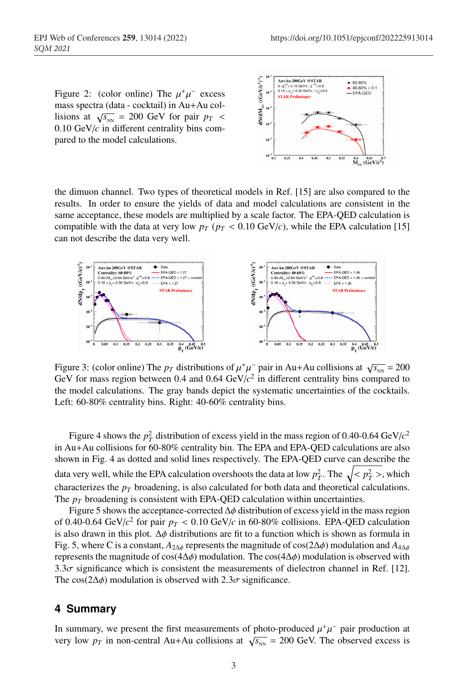Figure 2: (color online) The  $\mu^+\mu^-$  excess mass spectra (data - cocktail) in Au+Au collisions at  $\sqrt{s_{NN}}$  = 200 GeV for pair  $p_T$  < 0.10 GeV/*c* in different centrality bins compared to the model calculations.



the dimuon channel. Two types of theoretical models in Ref. [15] are also compared to the results. In order to ensure the yields of data and model calculations are consistent in the same acceptance, these models are multiplied by a scale factor. The EPA-QED calculation is compatible with the data at very low  $p_T$  ( $p_T < 0.10$  GeV/*c*), while the EPA calculation [15] can not describe the data very well.



Figure 3: (color online) The  $p_T$  distributions of  $\mu^+\mu^-$  pair in Au+Au collisions at  $\sqrt{s_{NN}} = 200$ GeV for mass region between 0.4 and 0.64  $GeV/c^2$  in different centrality bins compared to the model calculations. The gray bands depict the systematic uncertainties of the cocktails. Left: 60-80% centrality bins. Right: 40-60% centrality bins.

Figure 4 shows the  $p_T^2$  distribution of excess yield in the mass region of 0.40-0.64 GeV/ $c^2$ in Au+Au collisions for 60-80% centrality bin. The EPA and EPA-QED calculations are also shown in Fig. 4 as dotted and solid lines respectively. The EPA-QED curve can describe the data very well, while the EPA calculation overshoots the data at low  $p_T^2$ . The  $\sqrt{< p_T^2>}$ , which characterizes the  $p_T$  broadening, is also calculated for both data and theoretical calculations. The  $p_T$  broadening is consistent with EPA-QED calculation within uncertainties.

Figure 5 shows the acceptance-corrected  $\Delta \phi$  distribution of excess yield in the mass region of 0.40-0.64 GeV/ $c^2$  for pair  $p_T < 0.10$  GeV/ $c$  in 60-80% collisions. EPA-QED calculation is also drawn in this plot.  $\Delta \phi$  distributions are fit to a function which is shown as formula in Fig. 5, where C is a constant,  $A_{2\Delta\phi}$  represents the magnitude of cos(2 $\Delta\phi$ ) modulation and  $A_{4\Delta\phi}$ represents the magnitude of cos(4 $\Delta\phi$ ) modulation. The cos(4 $\Delta\phi$ ) modulation is observed with 3.3 $\sigma$  significance which is consistent the measurements of dielectron channel in Ref. [12]. The cos( $2\Delta\phi$ ) modulation is observed with  $2.3\sigma$  significance.

#### **4 Summary**

In summary, we present the first measurements of photo-produced  $\mu^+\mu^-$  pair production at very low  $p_T$  in non-central Au+Au collisions at  $\sqrt{s_{NN}}$  = 200 GeV. The observed excess is